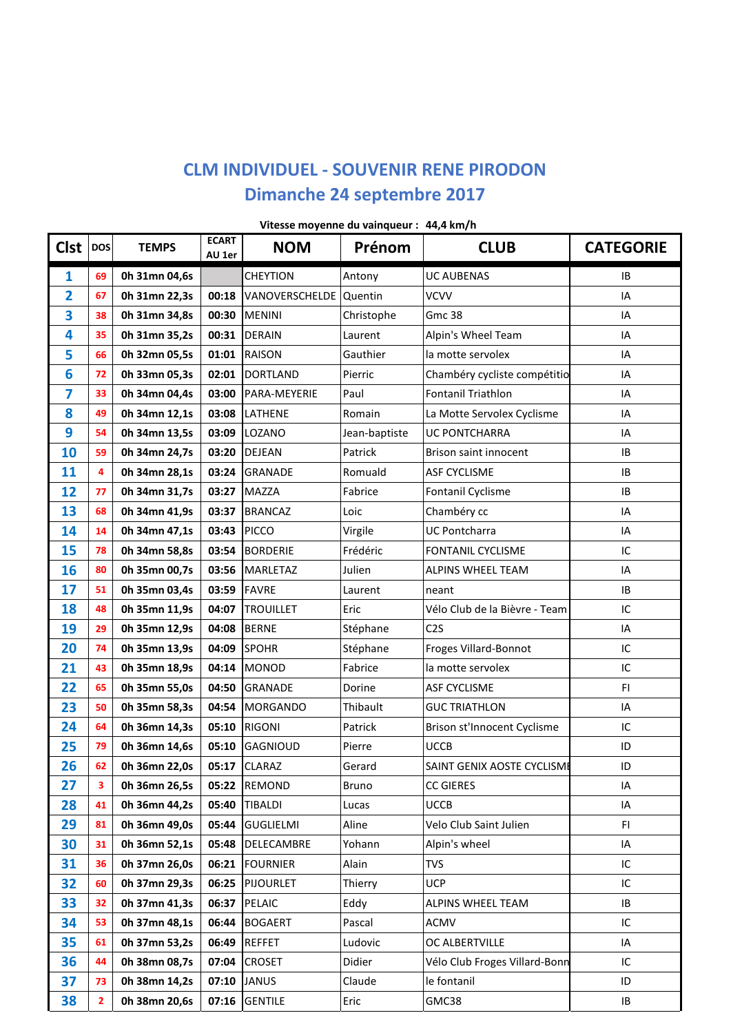## **CLM INDIVIDUEL - SOUVENIR RENE PIRODON** Dimanche 24 septembre 2017

| <b>Clst</b>    | <b>DOS</b>              | <b>TEMPS</b>  | <b>ECART</b><br>AU 1er | <b>NOM</b>             | Prénom        | <b>CLUB</b>                   | <b>CATEGORIE</b> |
|----------------|-------------------------|---------------|------------------------|------------------------|---------------|-------------------------------|------------------|
| 1              | 69                      | 0h 31mn 04,6s |                        | <b>CHEYTION</b>        | Antony        | <b>UC AUBENAS</b>             | IB               |
| $\overline{2}$ | 67                      | 0h 31mn 22,3s | 00:18                  | VANOVERSCHELDE Quentin |               | <b>VCVV</b>                   | IA               |
| 3              | 38                      | 0h 31mn 34,8s | 00:30                  | <b>MENINI</b>          | Christophe    | <b>Gmc 38</b>                 | IA               |
| 4              | 35                      | 0h 31mn 35,2s | 00:31                  | <b>DERAIN</b>          | Laurent       | Alpin's Wheel Team            | IA               |
| 5              | 66                      | 0h 32mn 05,5s | 01:01                  | <b>RAISON</b>          | Gauthier      | la motte servolex             | IA               |
| 6              | 72                      | 0h 33mn 05,3s | 02:01                  | <b>DORTLAND</b>        | Pierric       | Chambéry cycliste compétitio  | IA               |
| 7              | 33                      | 0h 34mn 04,4s | 03:00                  | PARA-MEYERIE           | Paul          | <b>Fontanil Triathlon</b>     | IA               |
| 8              | 49                      | 0h 34mn 12,1s | 03:08                  | <b>LATHENE</b>         | Romain        | La Motte Servolex Cyclisme    | IA               |
| 9              | 54                      | 0h 34mn 13,5s | 03:09                  | LOZANO                 | Jean-baptiste | UC PONTCHARRA                 | IA               |
| 10             | 59                      | 0h 34mn 24,7s | 03:20                  | <b>DEJEAN</b>          | Patrick       | Brison saint innocent         | IB               |
| 11             | $\overline{\mathbf{4}}$ | 0h 34mn 28,1s | 03:24                  | <b>GRANADE</b>         | Romuald       | <b>ASF CYCLISME</b>           | IB.              |
| 12             | 77                      | 0h 34mn 31,7s | 03:27                  | <b>MAZZA</b>           | Fabrice       | Fontanil Cyclisme             | IB               |
| 13             | 68                      | 0h 34mn 41,9s | 03:37                  | <b>BRANCAZ</b>         | Loic          | Chambéry cc                   | IA               |
| 14             | 14                      | 0h 34mn 47,1s | 03:43                  | <b>PICCO</b>           | Virgile       | <b>UC Pontcharra</b>          | IA               |
| 15             | 78                      | 0h 34mn 58,8s | 03:54                  | <b>BORDERIE</b>        | Frédéric      | <b>FONTANIL CYCLISME</b>      | IC               |
| 16             | 80                      | 0h 35mn 00,7s | 03:56                  | <b>MARLETAZ</b>        | Julien        | ALPINS WHEEL TEAM             | IA               |
| 17             | 51                      | 0h 35mn 03,4s | 03:59                  | <b>FAVRE</b>           | Laurent       | neant                         | IB               |
| 18             | 48                      | 0h 35mn 11,9s | 04:07                  | <b>TROUILLET</b>       | Eric          | Vélo Club de la Bièvre - Team | IC               |
| 19             | 29                      | 0h 35mn 12,9s | 04:08                  | <b>BERNE</b>           | Stéphane      | C <sub>2</sub> S              | IA               |
| 20             | 74                      | 0h 35mn 13,9s | 04:09                  | <b>SPOHR</b>           | Stéphane      | Froges Villard-Bonnot         | IC               |
| 21             | 43                      | 0h 35mn 18,9s | 04:14                  | <b>MONOD</b>           | Fabrice       | la motte servolex             | IC               |
| 22             | 65                      | 0h 35mn 55,0s | 04:50                  | <b>GRANADE</b>         | Dorine        | <b>ASF CYCLISME</b>           | FI               |
| 23             | 50                      | 0h 35mn 58,3s | 04:54                  | <b>MORGANDO</b>        | Thibault      | <b>GUC TRIATHLON</b>          | IA               |
| 24             | 64                      | 0h 36mn 14,3s | 05:10                  | <b>RIGONI</b>          | Patrick       | Brison st'Innocent Cyclisme   | IC               |
| 25             | 79                      | 0h 36mn 14,6s | 05:10                  | <b>GAGNIOUD</b>        | Pierre        | <b>UCCB</b>                   | ID               |
| 26             | 62                      | 0h 36mn 22,0s | 05:17                  | <b>CLARAZ</b>          | Gerard        | SAINT GENIX AOSTE CYCLISME    | ID               |
| 27             | 3                       | 0h 36mn 26,5s |                        | 05:22 REMOND           | Bruno         | <b>CC GIERES</b>              | IA               |
| 28             | 41                      | 0h 36mn 44,2s | 05:40                  | <b>TIBALDI</b>         | Lucas         | <b>UCCB</b>                   | IA               |
| 29             | 81                      | 0h 36mn 49,0s | 05:44                  | <b>GUGLIELMI</b>       | Aline         | Velo Club Saint Julien        | FI               |
| 30             | 31                      | 0h 36mn 52,1s | 05:48                  | DELECAMBRE             | Yohann        | Alpin's wheel                 | IA               |
| 31             | 36                      | 0h 37mn 26,0s | 06:21                  | <b>FOURNIER</b>        | Alain         | <b>TVS</b>                    | IC               |
| 32             | 60                      | 0h 37mn 29,3s | 06:25                  | <b>PIJOURLET</b>       | Thierry       | <b>UCP</b>                    | IC               |
| 33             | 32                      | 0h 37mn 41,3s | 06:37                  | PELAIC                 | Eddy          | ALPINS WHEEL TEAM             | IB               |
| 34             | 53                      | 0h 37mn 48,1s | 06:44                  | <b>BOGAERT</b>         | Pascal        | <b>ACMV</b>                   | IC               |
| 35             | 61                      | 0h 37mn 53,2s | 06:49                  | <b>REFFET</b>          | Ludovic       | OC ALBERTVILLE                | IA               |
| 36             | 44                      | 0h 38mn 08,7s | 07:04                  | <b>CROSET</b>          | Didier        | Vélo Club Froges Villard-Bonn | IC               |
| 37             | 73                      | 0h 38mn 14,2s | 07:10                  | <b>JANUS</b>           | Claude        | le fontanil                   | ID               |
| 38             | $\mathbf{2}$            | 0h 38mn 20,6s | 07:16                  | <b>GENTILE</b>         | Eric          | GMC38                         | IB               |

Vitesse moyenne du vainqueur : 44,4 km/h